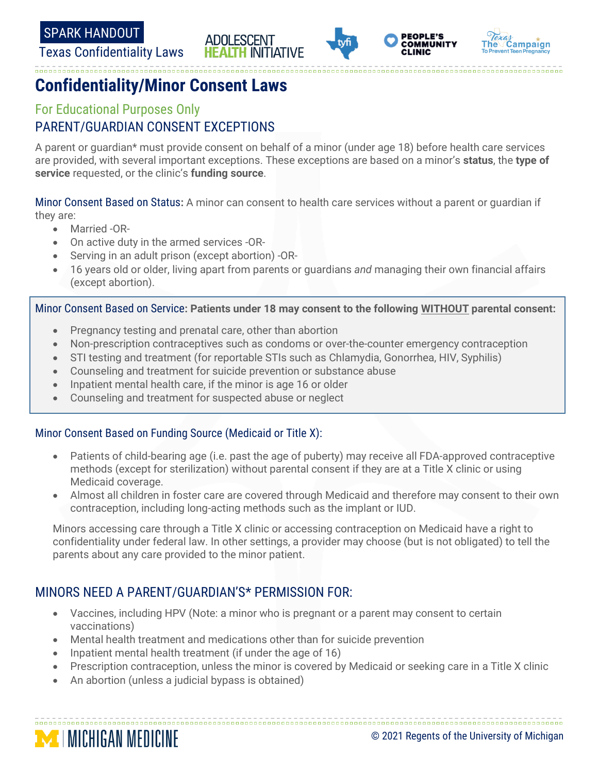Texas Confidentiality Laws









# **Confidentiality/Minor Consent Laws**

# For Educational Purposes Only PARENT/GUARDIAN CONSENT EXCEPTIONS

A parent or guardian\* must provide consent on behalf of a minor (under age 18) before health care services are provided, with several important exceptions. These exceptions are based on a minor's **status**, the **type of service** requested, or the clinic's **funding source**.

Minor Consent Based on Status**:** A minor can consent to health care services without a parent or guardian if they are:

- Married -OR-
- On active duty in the armed services -OR-
- Serving in an adult prison (except abortion) -OR-
- 16 years old or older, living apart from parents or guardians *and* managing their own financial affairs (except abortion).

Minor Consent Based on Service**: Patients under 18 may consent to the following WITHOUT parental consent:**

- Pregnancy testing and prenatal care, other than abortion
- Non-prescription contraceptives such as condoms or over-the-counter emergency contraception
- STI testing and treatment (for reportable STIs such as Chlamydia, Gonorrhea, HIV, Syphilis)
- Counseling and treatment for suicide prevention or substance abuse
- Inpatient mental health care, if the minor is age 16 or older
- Counseling and treatment for suspected abuse or neglect

#### Minor Consent Based on Funding Source (Medicaid or Title X):

- Patients of child-bearing age (i.e. past the age of puberty) may receive all FDA-approved contraceptive methods (except for sterilization) without parental consent if they are at a Title X clinic or using Medicaid coverage.
- Almost all children in foster care are covered through Medicaid and therefore may consent to their own contraception, including long-acting methods such as the implant or IUD.

Minors accessing care through a Title X clinic or accessing contraception on Medicaid have a right to confidentiality under federal law. In other settings, a provider may choose (but is not obligated) to tell the parents about any care provided to the minor patient.

## MINORS NEED A PARENT/GUARDIAN'S\* PERMISSION FOR:

- Vaccines, including HPV (Note: a minor who is pregnant or a parent may consent to certain vaccinations)
- Mental health treatment and medications other than for suicide prevention
- Inpatient mental health treatment (if under the age of 16)
- Prescription contraception, unless the minor is covered by Medicaid or seeking care in a Title X clinic
- An abortion (unless a judicial bypass is obtained)